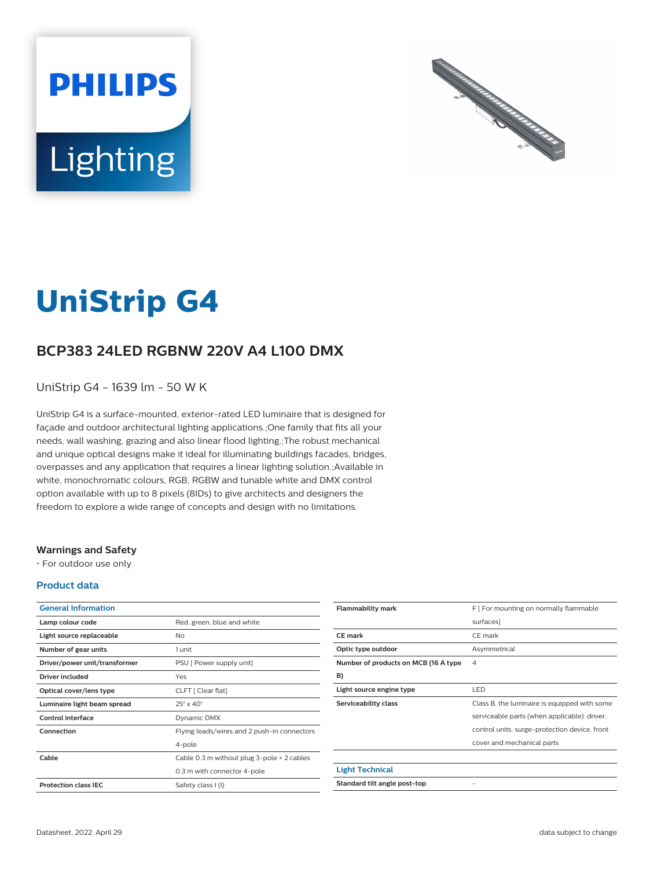



# **UniStrip G4**

## **BCP383 24LED RGBNW 220V A4 L100 DMX**

UniStrip G4 - 1639 lm - 50 W K

UniStrip G4 is a surface-mounted, exterior-rated LED luminaire that is designed for façade and outdoor architectural lighting applications.;One family that fits all your needs, wall washing, grazing and also linear flood lighting.;The robust mechanical and unique optical designs make it ideal for illuminating buildings facades, bridges, overpasses and any application that requires a linear lighting solution.;Available in white, monochromatic colours, RGB, RGBW and tunable white and DMX control option available with up to 8 pixels (8IDs) to give architects and designers the freedom to explore a wide range of concepts and design with no limitations.

#### **Warnings and Safety**

• For outdoor use only

#### **Product data**

| <b>General Information</b>    |                                             |  |
|-------------------------------|---------------------------------------------|--|
| Lamp colour code              | Red, green, blue and white                  |  |
| Light source replaceable      | No                                          |  |
| Number of gear units          | 1 unit                                      |  |
| Driver/power unit/transformer | PSU [ Power supply unit]                    |  |
| Driver included               | Yes                                         |  |
| Optical cover/lens type       | CLFT [ Clear flat]                          |  |
| Luminaire light beam spread   | $25^\circ \times 40^\circ$                  |  |
| Control interface             | Dynamic DMX                                 |  |
| Connection                    | Flying leads/wires and 2 push-in connectors |  |
|                               | 4-pole                                      |  |
| Cable                         | Cable 0.3 m without plug 3-pole + 2 cables  |  |
|                               | 0.3 m with connector 4-pole                 |  |
| <b>Protection class IEC</b>   | Safety class I (I)                          |  |

| <b>Flammability mark</b>             | F [ For mounting on normally flammable        |  |
|--------------------------------------|-----------------------------------------------|--|
|                                      | surfaces]                                     |  |
| <b>CE</b> mark                       | CF mark                                       |  |
| Optic type outdoor                   | Asymmetrical                                  |  |
| Number of products on MCB (16 A type | 4                                             |  |
| B)                                   |                                               |  |
| Light source engine type             | LED                                           |  |
| Serviceability class                 | Class B, the luminaire is equipped with some  |  |
|                                      | serviceable parts (when applicable): driver,  |  |
|                                      | control units, surge-protection device, front |  |
|                                      | cover and mechanical parts                    |  |
|                                      |                                               |  |
| <b>Light Technical</b>               |                                               |  |
| Standard tilt angle post-top         |                                               |  |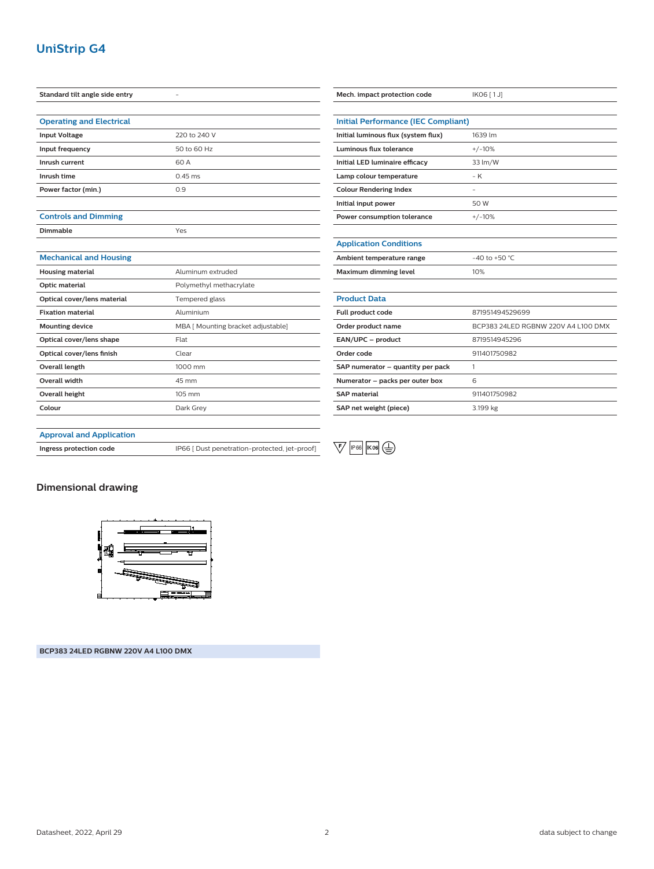## **UniStrip G4**

| Standard tilt angle side entry  | ٠                                  | Mech. impact protection code               | IK06 [1J]                           |
|---------------------------------|------------------------------------|--------------------------------------------|-------------------------------------|
| <b>Operating and Electrical</b> |                                    | <b>Initial Performance (IEC Compliant)</b> |                                     |
| <b>Input Voltage</b>            | 220 to 240 V                       | Initial luminous flux (system flux)        | 1639 lm                             |
| Input frequency                 | 50 to 60 Hz                        | Luminous flux tolerance                    | $+/-10%$                            |
| Inrush current                  | 60 A                               | Initial LED luminaire efficacy             | 33 lm/W                             |
| Inrush time                     | $0.45$ ms                          | Lamp colour temperature                    | $-K$                                |
| Power factor (min.)             | 0.9                                | <b>Colour Rendering Index</b>              | $\overline{\phantom{a}}$            |
|                                 |                                    | Initial input power                        | 50 W                                |
| <b>Controls and Dimming</b>     |                                    | Power consumption tolerance                | $+/-10%$                            |
| Dimmable                        | Yes                                |                                            |                                     |
|                                 |                                    | <b>Application Conditions</b>              |                                     |
| <b>Mechanical and Housing</b>   |                                    | Ambient temperature range                  | -40 to +50 $^{\circ}$ C             |
| <b>Housing material</b>         | Aluminum extruded                  | Maximum dimming level                      | 10%                                 |
| Optic material                  | Polymethyl methacrylate            |                                            |                                     |
| Optical cover/lens material     | Tempered glass                     | <b>Product Data</b>                        |                                     |
| <b>Fixation material</b>        | Aluminium                          | Full product code                          | 871951494529699                     |
| <b>Mounting device</b>          | MBA [ Mounting bracket adjustable] | Order product name                         | BCP383 24LED RGBNW 220V A4 L100 DMX |
| Optical cover/lens shape        | Flat                               | EAN/UPC - product                          | 8719514945296                       |
| Optical cover/lens finish       | Clear                              | Order code                                 | 911401750982                        |
| Overall length                  | 1000 mm                            | SAP numerator - quantity per pack          | $\mathbf{1}$                        |
| Overall width                   | 45 mm                              | Numerator - packs per outer box            | 6                                   |
| Overall height                  | 105 mm                             | <b>SAP</b> material                        | 911401750982                        |
| Colour                          | Dark Grey                          | SAP net weight (piece)                     | 3.199 kg                            |

**Ingress protection code** IP66 [ Dust penetration-protected, jet-proof]



#### **Dimensional drawing**



**BCP383 24LED RGBNW 220V A4 L100 DMX**